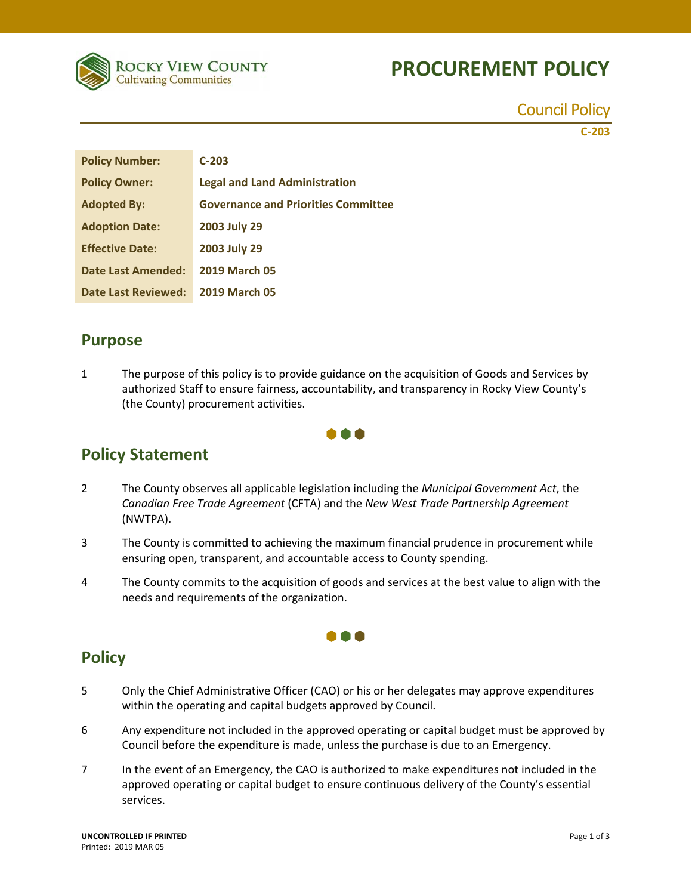# **PROCUREMENT POLICY**



Council Policy

**C‐203**

| <b>Policy Number:</b>      | $C-203$                                    |
|----------------------------|--------------------------------------------|
| <b>Policy Owner:</b>       | <b>Legal and Land Administration</b>       |
| <b>Adopted By:</b>         | <b>Governance and Priorities Committee</b> |
| <b>Adoption Date:</b>      | 2003 July 29                               |
| <b>Effective Date:</b>     | 2003 July 29                               |
| <b>Date Last Amended:</b>  | <b>2019 March 05</b>                       |
| <b>Date Last Reviewed:</b> | <b>2019 March 05</b>                       |

#### **Purpose**

1 The purpose of this policy is to provide guidance on the acquisition of Goods and Services by authorized Staff to ensure fairness, accountability, and transparency in Rocky View County's (the County) procurement activities.



### **Policy Statement**

- 2 The County observes all applicable legislation including the *Municipal Government Act*, the *Canadian Free Trade Agreement* (CFTA) and the *New West Trade Partnership Agreement* (NWTPA).
- 3 The County is committed to achieving the maximum financial prudence in procurement while ensuring open, transparent, and accountable access to County spending.
- 4 The County commits to the acquisition of goods and services at the best value to align with the needs and requirements of the organization.

## **Policy**

- 5 Only the Chief Administrative Officer (CAO) or his or her delegates may approve expenditures within the operating and capital budgets approved by Council.
- 6 Any expenditure not included in the approved operating or capital budget must be approved by Council before the expenditure is made, unless the purchase is due to an Emergency.
- 7 In the event of an Emergency, the CAO is authorized to make expenditures not included in the approved operating or capital budget to ensure continuous delivery of the County's essential services.

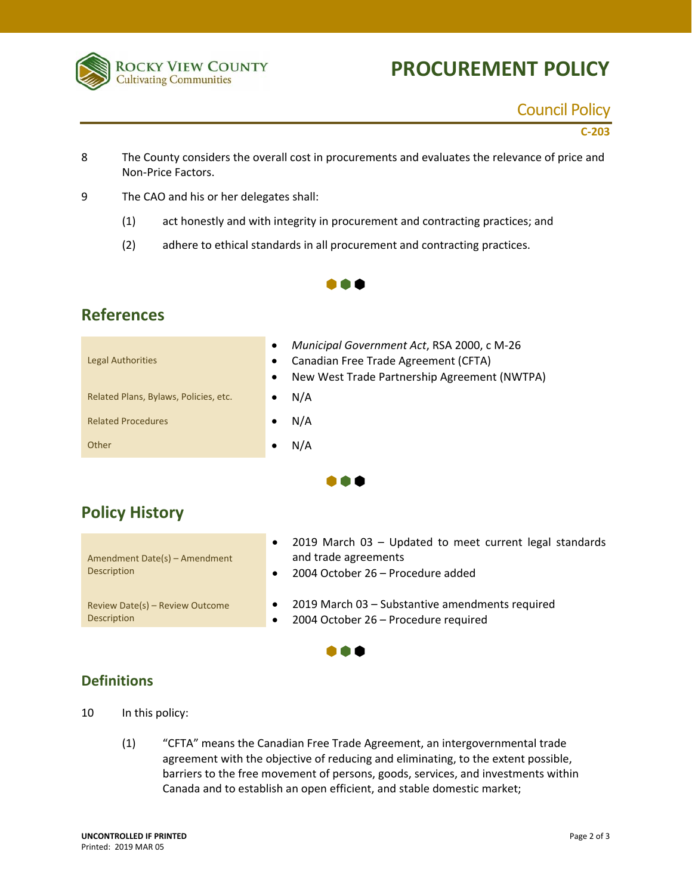

# **PROCUREMENT POLICY**

### Council Policy

**C‐203**

- 8 The County considers the overall cost in procurements and evaluates the relevance of price and Non‐Price Factors.
- 9 The CAO and his or her delegates shall:
	- (1) act honestly and with integrity in procurement and contracting practices; and
	- (2) adhere to ethical standards in all procurement and contracting practices.

#### $\bullet \bullet \bullet$

#### **References**

| Municipal Government Act, RSA 2000, c M-26<br>$\bullet$<br>Canadian Free Trade Agreement (CFTA)<br>$\bullet$<br>New West Trade Partnership Agreement (NWTPA)<br>$\bullet$ |
|---------------------------------------------------------------------------------------------------------------------------------------------------------------------------|
| N/A<br>٠                                                                                                                                                                  |
| N/A<br>$\bullet$                                                                                                                                                          |
| N/A<br>٠                                                                                                                                                                  |
|                                                                                                                                                                           |

## **Policy History**

|                                 | 2019 March 03 - Updated to meet current legal standards |
|---------------------------------|---------------------------------------------------------|
| Amendment Date(s) - Amendment   | and trade agreements                                    |
| Description                     | 2004 October 26 – Procedure added                       |
|                                 |                                                         |
| Review Date(s) - Review Outcome | 2019 March 03 – Substantive amendments required         |
| Description                     | 2004 October 26 - Procedure required                    |

m a

 $\bullet \bullet \bullet$ 

#### **Definitions**

10 In this policy:

(1) "CFTA" means the Canadian Free Trade Agreement, an intergovernmental trade agreement with the objective of reducing and eliminating, to the extent possible, barriers to the free movement of persons, goods, services, and investments within Canada and to establish an open efficient, and stable domestic market;